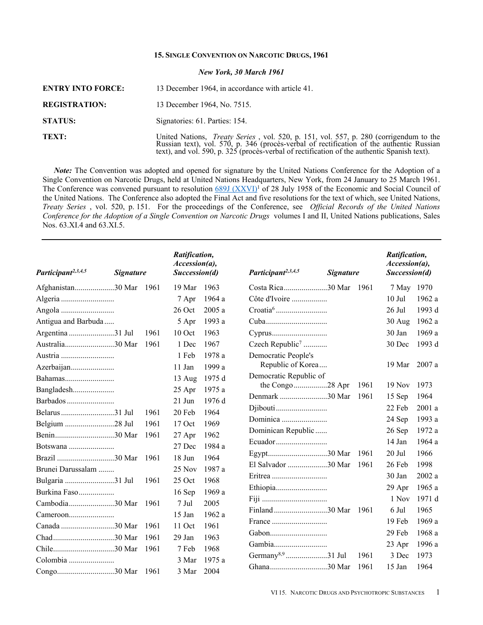# **15.SINGLE CONVENTION ON NARCOTIC DRUGS, 1961** *New York, 30 March 1961*

| <b>ENTRY INTO FORCE:</b> | 13 December 1964, in accordance with article 41.                                                                                                                                                                                     |
|--------------------------|--------------------------------------------------------------------------------------------------------------------------------------------------------------------------------------------------------------------------------------|
| <b>REGISTRATION:</b>     | 13 December 1964, No. 7515.                                                                                                                                                                                                          |
| <b>STATUS:</b>           | Signatories: 61. Parties: 154.                                                                                                                                                                                                       |
| TEXT:                    | United Nations, <i>Treaty Series</i> , vol. 520, p. 151, vol. 557, p. 280 (corrigendum to the Russian text), vol. 570, p. 346 (proces-verbal of rectification of the authentic Russian text), and vol. 590, p. 325 (proces-verbal of |

*Note:* The Convention was adopted and opened for signature by the United Nations Conference for the Adoption of a Single Convention on Narcotic Drugs, held at United Nations Headquarters, New York, from 24 January to 25 March 1961. The Conference was convened pursuant to resolution 689J [\(XXVI\)](https://treaties.un.org//doc/source/docs/E_RES_689_XXVI-E.pdf)<sup>1</sup> of 28 July 1958 of the Economic and Social Council of the United Nations. The Conference also adopted the Final Act and five resolutions for the text of which, see United Nations, *Treaty Series* , vol. 520, p. 151. For the proceedings of the Conference, see *Official Records of the United Nations Conference for the Adoption of a Single Convention on Narcotic Drugs* volumes I and II, United Nations publications, Sales Nos. 63.XI.4 and 63.XI.5.

| Participant <sup>2,3,4,5</sup> | <b>Signature</b> |       | Ratification,<br>Accession(a),<br>Succession(d) |        | Participant <sup>2,3,4,5</sup> | <b>Signature</b> |       | Ratification,<br>$\textit{Accession}(a)$ ,<br>Succession(d) |        |
|--------------------------------|------------------|-------|-------------------------------------------------|--------|--------------------------------|------------------|-------|-------------------------------------------------------------|--------|
| Afghanistan30 Mar 1961         |                  |       | 19 Mar                                          | 1963   | Costa Rica30 Mar 1961          |                  |       | 7 May 1970                                                  |        |
|                                |                  |       | 7 Apr                                           | 1964 a | Côte d'Ivoire                  |                  |       | $10$ Jul                                                    | 1962a  |
|                                |                  |       | 26 Oct                                          | 2005a  |                                |                  |       | $26$ Jul                                                    | 1993 d |
| Antigua and Barbuda            |                  |       | 5 Apr                                           | 1993 a |                                |                  |       | $30$ Aug                                                    | 1962 a |
| Argentina 31 Jul               |                  | 1961  | 10 Oct                                          | 1963   |                                |                  |       | 30 Jan                                                      | 1969 a |
| Australia30 Mar                |                  | 1961  | 1 Dec                                           | 1967   | Czech Republic <sup>7</sup>    |                  |       | 30 Dec                                                      | 1993 d |
| Austria                        |                  |       | 1 Feb                                           | 1978 a | Democratic People's            |                  |       |                                                             |        |
| Azerbaijan                     |                  |       | 11 Jan                                          | 1999 a | Republic of Korea              |                  |       | 19 Mar                                                      | 2007 a |
|                                |                  |       | $13 \text{ Aug}$                                | 1975 d | Democratic Republic of         |                  |       |                                                             |        |
| Bangladesh                     |                  |       | 25 Apr                                          | 1975 a | the Congo28 Apr                |                  | 1961  | $19$ Nov                                                    | 1973   |
| Barbados                       |                  |       | $21$ Jun                                        | 1976 d | Denmark 30 Mar                 |                  | 1961  | 15 Sep                                                      | 1964   |
|                                |                  | 1961  | 20 Feb                                          | 1964   |                                |                  |       | 22 Feb                                                      | 2001 a |
| Belgium 28 Jul                 |                  | 1961  | $17$ Oct                                        | 1969   | Dominica                       |                  |       | 24 Sep                                                      | 1993 a |
|                                |                  | 1961  | 27 Apr                                          | 1962   | Dominican Republic             |                  |       | 26 Sep                                                      | 1972 a |
| Botswana                       |                  |       | 27 Dec                                          | 1984 a |                                |                  |       | 14 Jan                                                      | 1964a  |
| Brazil 30 Mar                  |                  | -1961 | 18 Jun                                          | 1964   |                                |                  | -1961 | 20 Jul                                                      | 1966   |
| Brunei Darussalam              |                  |       | 25 Nov                                          | 1987 a | El Salvador 30 Mar             |                  | 1961  | 26 Feb                                                      | 1998   |
| Bulgaria 31 Jul                |                  | 1961  | 25 Oct                                          | 1968   |                                |                  |       | 30 Jan                                                      | 2002a  |
| Burkina Faso                   |                  |       | 16 Sep                                          | 1969 a |                                |                  |       | 29 Apr                                                      | 1965 a |
| Cambodia30 Mar                 |                  | -1961 | 7 Jul                                           | 2005   |                                |                  |       | 1 Nov                                                       | 1971 d |
|                                |                  |       | 15 Jan                                          | 1962 a |                                |                  | -1961 | 6 Jul                                                       | 1965   |
| Canada 30 Mar                  |                  | 1961  | $11$ Oct                                        | 1961   |                                |                  |       | 19 Feb                                                      | 1969 a |
|                                |                  | 1961  | 29 Jan                                          | 1963   |                                |                  |       | 29 Feb                                                      | 1968 a |
|                                |                  | 1961  | 7 Feb                                           | 1968   |                                |                  |       | 23 Apr                                                      | 1996 a |
|                                |                  |       | 3 Mar                                           | 1975 a | Germany <sup>8,9</sup> 31 Jul  |                  | 1961  | 3 Dec                                                       | 1973   |
|                                |                  |       | 3 Mar                                           | 2004   | Ghana30 Mar                    |                  | 1961  | 15 Jan                                                      | 1964   |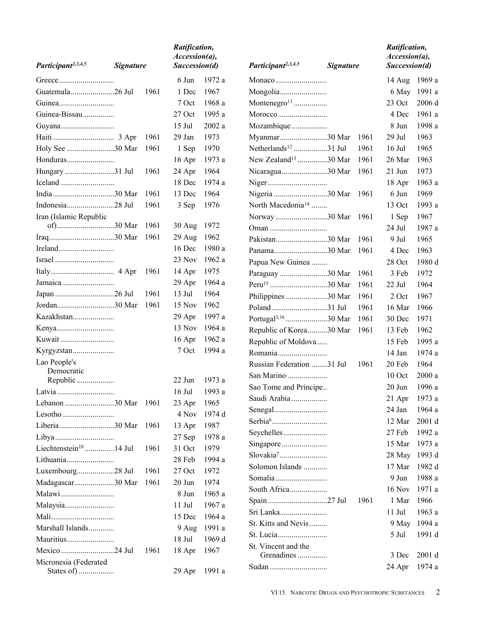|                                    |                  |        | Ratification,<br>Accession(a), |        |                                  |                  |        | Ratification,<br>Accession(a), |        |
|------------------------------------|------------------|--------|--------------------------------|--------|----------------------------------|------------------|--------|--------------------------------|--------|
| Participant <sup>2,3,4,5</sup>     | <b>Signature</b> |        | Succession(d)                  |        | Participant <sup>2,3,4,5</sup>   | <b>Signature</b> |        | Succession(d)                  |        |
|                                    |                  |        | 6 Jun                          | 1972 a |                                  |                  |        | 14 Aug                         | 1969 a |
| Guatemala26 Jul                    |                  | 1961   | 1 Dec                          | 1967   | Mongolia                         |                  |        | 6 May                          | 1991 a |
|                                    |                  |        | 7 Oct                          | 1968 a | Montenegro <sup>11</sup>         |                  |        | 23 Oct                         | 2006 d |
| Guinea-Bissau                      |                  |        | 27 Oct                         | 1995 a |                                  |                  |        | 4 Dec                          | 1961 a |
|                                    |                  |        | $15$ Jul                       | 2002a  | Mozambique                       |                  |        | 8 Jun                          | 1998 a |
|                                    |                  | 1961   | 29 Jan                         | 1973   | Myanmar30 Mar                    |                  | - 1961 | 29 Jul                         | 1963   |
| Holy See 30 Mar                    |                  | 1961   | 1 Sep                          | 1970   | Netherlands <sup>12</sup> 31 Jul |                  | 1961   | $16$ Jul                       | 1965   |
|                                    |                  |        | 16 Apr                         | 1973 a | New Zealand <sup>13</sup> 30 Mar |                  | 1961   | 26 Mar                         | 1963   |
| Hungary 31 Jul                     |                  | 1961   | 24 Apr                         | 1964   | Nicaragua30 Mar                  |                  | 1961   | 21 Jun                         | 1973   |
|                                    |                  |        | 18 Dec                         | 1974 a |                                  |                  |        | 18 Apr                         | 1963 a |
|                                    |                  | - 1961 | 13 Dec                         | 1964   | Nigeria 30 Mar 1961              |                  |        | 6 Jun                          | 1969   |
| Indonesia28 Jul                    |                  | 1961   | 3 Sep                          | 1976   | North Macedonia <sup>14</sup>    |                  |        | 13 Oct                         | 1993 a |
| Iran (Islamic Republic             |                  |        |                                |        | Norway 30 Mar                    |                  | -1961  | 1 Sep                          | 1967   |
|                                    |                  | -1961  | $30$ Aug                       | 1972   |                                  |                  |        | 24 Jul                         | 1987 a |
|                                    |                  | 1961   | $29$ Aug                       | 1962   | Pakistan30 Mar                   |                  | 1961   | 9 Jul                          | 1965   |
|                                    |                  |        | $16$ Dec                       | 1980 a | Panama30 Mar                     |                  | -1961  | 4 Dec                          | 1963   |
|                                    |                  |        | 23 Nov                         | 1962 a | Papua New Guinea                 |                  |        | 28 Oct                         | 1980 d |
|                                    |                  | 1961   | 14 Apr                         | 1975   | Paraguay 30 Mar                  |                  | 1961   | 3 Feb                          | 1972   |
|                                    |                  |        | 29 Apr                         | 1964 a | Peru <sup>15</sup> 30 Mar        |                  | 1961   | 22 Jul                         | 1964   |
|                                    |                  | 1961   | 13 Jul                         | 1964   | Philippines 30 Mar               |                  | 1961   | 2 Oct                          | 1967   |
| Jordan30 Mar                       |                  | 1961   | $15$ Nov                       | 1962   | Poland 31 Jul                    |                  | 1961   | 16 Mar                         | 1966   |
| Kazakhstan                         |                  |        | 29 Apr                         | 1997 a | Portugal <sup>3,16</sup> 30 Mar  |                  | 1961   | 30 Dec                         | 1971   |
|                                    |                  |        | 13 Nov                         | 1964 a | Republic of Korea30 Mar          |                  | 1961   | 13 Feb                         | 1962   |
| Kuwait                             |                  |        | $16$ Apr                       | 1962 a | Republic of Moldova              |                  |        | 15 Feb                         | 1995 a |
| Kyrgyzstan                         |                  |        | 7 Oct                          | 1994 a |                                  |                  |        | 14 Jan                         | 1974 a |
| Lao People's                       |                  |        |                                |        | Russian Federation 31 Jul        |                  | 1961   | 20 Feb                         | 1964   |
| Democratic<br>Republic             |                  |        | 22 Jun                         | 1973 a | San Marino                       |                  |        | $10$ Oct                       | 2000a  |
| Latvia                             |                  |        | $16$ Jul                       | 1993 a | Sao Tome and Principe            |                  |        | 20 Jun                         | 1996 a |
|                                    |                  |        | 23 Apr                         | 1965   | Saudi Arabia                     |                  |        | 21 Apr 1973 a                  |        |
|                                    |                  |        | 4 Nov                          | 1974 d |                                  |                  |        | 24 Jan                         | 1964 a |
|                                    |                  | - 1961 | 13 Apr                         | 1987   |                                  |                  |        | 12 Mar                         | 2001 d |
|                                    |                  |        | 27 Sep                         | 1978 a | Seychelles                       |                  |        | 27 Feb                         | 1992 a |
| Liechtenstein <sup>10</sup> 14 Jul |                  | 1961   | 31 Oct                         | 1979   | Singapore                        |                  |        | 15 Mar                         | 1973 a |
| Lithuania                          |                  |        | 28 Feb                         | 1994 a | Slovakia <sup>7</sup>            |                  |        | 28 May                         | 1993 d |
| Luxembourg28 Jul                   |                  | 1961   | 27 Oct                         | 1972   | Solomon Islands                  |                  |        | 17 Mar                         | 1982 d |
| Madagascar30 Mar                   |                  | 1961   | $20$ Jun                       | 1974   |                                  |                  |        | 9 Jun                          | 1988 a |
|                                    |                  |        | 8 Jun                          | 1965 a | South Africa                     |                  |        | <b>16 Nov</b>                  | 1971 a |
|                                    |                  |        | $11$ Jul                       | 1967 a |                                  |                  | 1961   | 1 Mar                          | 1966   |
|                                    |                  |        | 15 Dec                         | 1964 a | Sri Lanka                        |                  |        | $11$ Jul                       | 1963 a |
| Marshall Islands                   |                  |        | 9 Aug                          | 1991 a | St. Kitts and Nevis              |                  |        | 9 May                          | 1994 a |
| Mauritius                          |                  |        | 18 Jul                         | 1969 d |                                  |                  |        | 5 Jul                          | 1991 d |
| Mexico 24 Jul                      |                  | 1961   | 18 Apr                         | 1967   | St. Vincent and the              |                  |        |                                |        |
| Micronesia (Federated              |                  |        |                                |        | Grenadines                       |                  |        | 3 Dec                          | 2001 d |
| States of)                         |                  |        | $29$ Apr                       | 1991 a | Sudan                            |                  |        | 24 Apr                         | 1974 a |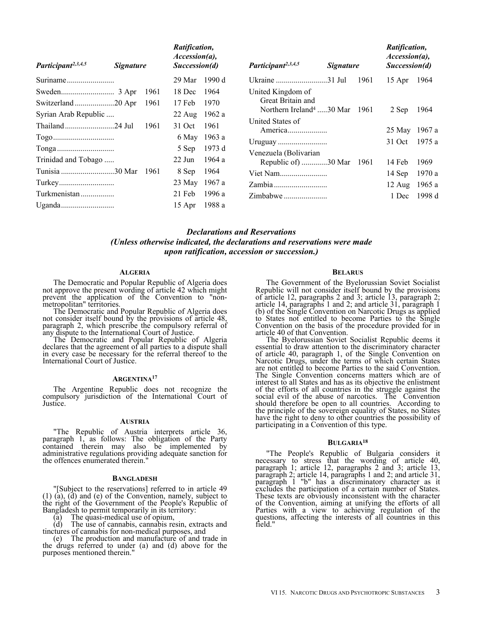| Participant <sup>2,3,4,5</sup> | <i>Signature</i> |      | Ratification,<br>$Accession(a)$ ,<br>Succession(d) |              | Participant <sup>2,3,4,5</sup>            | <i>Signature</i> |      | Ratification,<br>$Accession(a)$ ,<br>Succession(d) |        |
|--------------------------------|------------------|------|----------------------------------------------------|--------------|-------------------------------------------|------------------|------|----------------------------------------------------|--------|
|                                |                  |      | 29 Mar                                             | 1990 d       |                                           |                  | 1961 | $15$ Apr                                           | 1964   |
|                                |                  | 1961 | 18 Dec                                             | 1964         | United Kingdom of                         |                  |      |                                                    |        |
|                                |                  | 1961 | 17 Feb                                             | 1970         | Great Britain and                         |                  |      |                                                    |        |
| Syrian Arab Republic           |                  |      | $22 \text{ Aug}$                                   | 1962 a       | Northern Ireland <sup>4</sup> 30 Mar 1961 |                  |      | 2 Sep                                              | 1964   |
|                                |                  | 1961 | 31 Oct                                             | 1961         | United States of<br>America               |                  |      | 25 May 1967 a                                      |        |
|                                |                  |      |                                                    | 6 May 1963 a |                                           |                  |      | 31 Oct                                             | 1975 a |
|                                |                  |      | 5 Sep                                              | 1973 d       | Venezuela (Bolivarian                     |                  |      |                                                    |        |
| Trinidad and Tobago            |                  |      | 22 Jun                                             | 1964 a       | Republic of m30 Mar 1961                  |                  |      | 14 Feb                                             | 1969   |
| Tunisia 30 Mar                 |                  | 1961 | 8 Sep                                              | 1964         |                                           |                  |      | $14$ Sep                                           | 1970 a |
|                                |                  |      | 23 May                                             | 1967 a       |                                           |                  |      | $12 \text{ Aug}$                                   | 1965 a |
| Turkmenistan                   |                  |      | 21 Feb                                             | 1996 a       | Zimbabwe                                  |                  |      | 1 Dec                                              | 1998 d |
|                                |                  |      | 15 Apr                                             | 1988 a       |                                           |                  |      |                                                    |        |

## *Declarations and Reservations (Unless otherwise indicated, the declarations and reservations were made upon ratification, accession or succession.)*

## **ALGERIA**

The Democratic and Popular Republic of Algeria does not approve the present wording of article 42 which might prevent the application of the Convention to "nonmetropolitan" territories.

The Democratic and Popular Republic of Algeria does not consider itself bound by the provisions of article 48, paragraph 2, which prescribe the compulsory referral of any dispute to the International Court of Justice.

The Democratic and Popular Republic of Algeria declares that the agreement of all parties to a dispute shall in every case be necessary for the referral thereof to the International Court of Justice.

#### **ARGENTINA<sup>17</sup>**

The Argentine Republic does not recognize the compulsory jurisdiction of the International Court of Justice.

## **AUSTRIA**

"The Republic of Austria interprets article 36, paragraph 1, as follows: The obligation of the Party contained therein may also be implemented by administrative regulations providing adequate sanction for the offences enumerated therein."

#### **BANGLADESH**

"[Subject to the reservations] referred to in article 49 (1) (a), (d) and (e) of the Convention, namely, subject to the right of the Government of the People's Republic of Bangladesh to permit temporarily in its territory:

(a) The quasi-medical use of opium,

(d) The use of cannabis, cannabis resin, extracts and tinctures of cannabis for non-medical purposes, and

(e) The production and manufacture of and trade in the drugs referred to under (a) and (d) above for the purposes mentioned therein."

#### **BELARUS**

The Government of the Byelorussian Soviet Socialist Republic will not consider itself bound by the provisions of article 12, paragraphs 2 and 3; article 13, paragraph 2; article 14, paragraphs 1 and 2; and article 31, paragraph 1 (b) of the Single Convention on Narcotic Drugs as applied to States not entitled to become Parties to the Single Convention on the basis of the procedure provided for in article 40 of that Convention.

The Byelorussian Soviet Socialist Republic deems it essential to draw attention to the discriminatory character of article 40, paragraph 1, of the Single Convention on Narcotic Drugs, under the terms of which certain States are not entitled to become Parties to the said Convention. The Single Convention concerns matters which are of interest to all States and has as its objective the enlistment of the efforts of all countries in the struggle against the social evil of the abuse of narcotics. The Convention should therefore be open to all countries. According to the principle of the sovereign equality of States, no States have the right to deny to other countries the possibility of participating in a Convention of this type.

#### **BULGARIA<sup>18</sup>**

"The People's Republic of Bulgaria considers it necessary to stress that the wording of article 40, paragraph 1; article 12, paragraphs 2 and 3; article 13, paragraph 2; article 14, paragraphs 1 and 2; and article 31, paragraph 1 "b" has a discriminatory character as it excludes the participation of a certain number of States. These texts are obviously inconsistent with the character of the Convention, aiming at unifying the efforts of all Parties with a view to achieving regulation of the questions, affecting the interests of all countries in this field."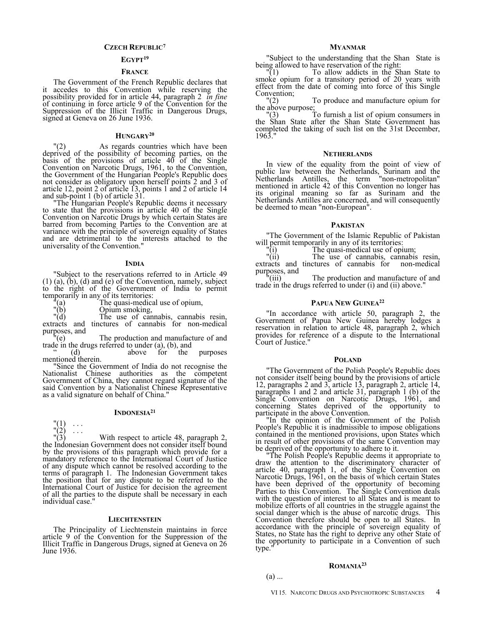### **CZECH REPUBLIC<sup>7</sup>**

## **EGYPT<sup>19</sup>**

## **FRANCE**

The Government of the French Republic declares that it accedes to this Convention while reserving the possibility provided for in article 44, paragraph 2 *in fine* of continuing in force article 9 of the Convention for the Suppression of the Illicit Traffic in Dangerous Drugs, signed at Geneva on 26 June 1936.

#### **HUNGARY<sup>20</sup>**

"(2) As regards countries which have been deprived of the possibility of becoming parties, on the basis of the provisions of article  $40^{\circ}$  of the Single Convention on Narcotic Drugs, 1961, to the Convention, the Government of the Hungarian People's Republic does not consider as obligatory upon herself points 2 and 3 of article 12, point 2 of article 13, points 1 and 2 of article 14 and sub-point 1 (b) of article  $31$ .

The Hungarian People's Republic deems it necessary to state that the provisions in article 40 of the Single Convention on Narcotic Drugs by which certain States are barred from becoming Parties to the Convention are at variance with the principle of sovereign equality of States and are detrimental to the interests attached to the universality of the Convention."

#### **INDIA**

"Subject to the reservations referred to in Article 49 (1) (a), (b), (d) and (e) of the Convention, namely, subject to the right of the Government of India to permit temporarily in any of its territories:

"(a) The quasi-medical use of opium,

"(b) Opium smoking,

"(d) The use of cannabis, cannabis resin, extracts and tinctures of cannabis for non-medical purposes, and

"(e) The production and manufacture of and trade in the drugs referred to under (a), (b), and

" (d) above for the purposes " (d)<br>mentioned therein.

"Since the Government of India do not recognise the Nationalist Chinese authorities as the competent Government of China, they cannot regard signature of the said Convention by a Nationalist Chinese Representative as a valid signature on behalf of China."

#### **INDONESIA<sup>21</sup>**

 $(1)$  $\binom{n}{2}$  ...

With respect to article 48, paragraph 2 the Indonesian Government does not consider itself bound by the provisions of this paragraph which provide for a mandatory reference to the International Court of Justice of any dispute which cannot be resolved according to the terms of paragraph 1. The Indonesian Government takes the position that for any dispute to be referred to the International Court of Justice for decision the agreement of all the parties to the dispute shall be necessary in each individual case."

#### **LIECHTENSTEIN**

The Principality of Liechtenstein maintains in force article 9 of the Convention for the Suppression of the Illicit Traffic in Dangerous Drugs, signed at Geneva on 26 June 1936.

#### **MYANMAR**

"Subject to the understanding that the Shan State is being allowed to have reservation of the right:<br> $"(1)$  To allow addicts in the Sh

"(1) To allow addicts in the Shan State to smoke opium for a transitory period of 20 years with effect from the date of coming into force of this Single

Convention;<br> $"(2)$ To produce and manufacture opium for the above purpose;<br> $\frac{n(3)}{2}$ 

To furnish a list of opium consumers in the Shan State after the Shan State Government has completed the taking of such list on the 31st December, 1963."

#### **NETHERLANDS**

In view of the equality from the point of view of public law between the Netherlands, Surinam and the Netherlands Antilles, the term "non-metropolitan" mentioned in article 42 of this Convention no longer has its original meaning so far as Surinam and the Netherlands Antilles are concerned, and will consequently be deemed to mean "non-European".

## **PAKISTAN**

"The Government of the Islamic Republic of Pakistan will permit temporarily in any of its territories:

"(i) The quasi-medical use of opium;

"(ii) The use of cannabis, cannabis resin, extracts and tinctures of cannabis for non-medical purposes, and  $\frac{m}{i}$ 

The production and manufacture of and trade in the drugs referred to under (i) and (ii) above."

## **PAPUA NEW GUINEA<sup>22</sup>**

"In accordance with article 50, paragraph 2, the Government of Papua New Guinea hereby lodges a reservation in relation to article 48, paragraph 2, which provides for reference of a dispute to the International Court of Justice."

#### **POLAND**

"The Government of the Polish People's Republic does not consider itself being bound by the provisions of article 12, paragraphs 2 and 3, article 13, paragraph 2, article 14, paragraphs 1 and 2 and article 31, paragraph 1 (b) of the Single Convention on Narcotic Drugs, 1961, and concerning States deprived of the opportunity to participate in the above Convention.

"In the opinion of the Government of the Polish People's Republic it is inadmissible to impose obligations contained in the mentioned provisions, upon States which in result of other provisions of the same Convention may be deprived of the opportunity to adhere to it.

"The Polish People's Republic deems it appropriate to draw the attention to the discriminatory character of article 40, paragraph 1, of the Single Convention on Narcotic Drugs, 1961, on the basis of which certain States have been deprived of the opportunity of becoming Parties to this Convention. The Single Convention deals with the question of interest to all States and is meant to mobilize efforts of all countries in the struggle against the social danger which is the abuse of narcotic drugs. This Convention therefore should be open to all States. In accordance with the principle of sovereign equality of States, no State has the right to deprive any other State of the opportunity to participate in a Convention of such type.

## **ROMANIA<sup>23</sup>**

 $(a)$  ...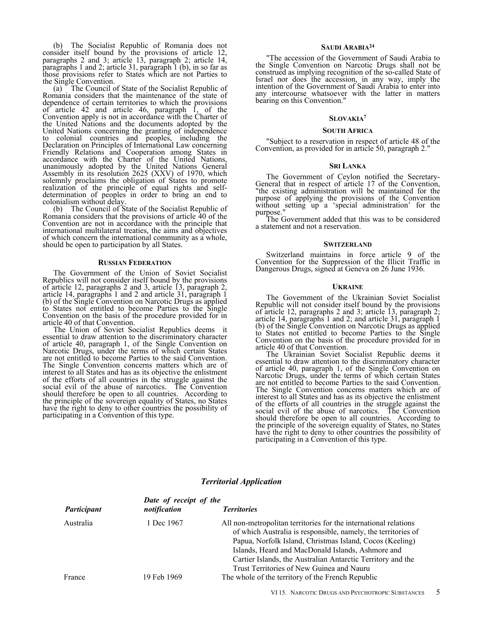(b) The Socialist Republic of Romania does not consider itself bound by the provisions of article 12, paragraphs 2 and 3; article 13, paragraph 2; article 14, paragraphs 1 and 2; article 31, paragraph 1 (b), in so far as those provisions refer to States which are not Parties to the Single Convention.

(a) The Council of State of the Socialist Republic of Romania considers that the maintenance of the state of dependence of certain territories to which the provisions of article 42 and article 46, paragraph 1, of the Convention apply is not in accordance with the Charter of the United Nations and the documents adopted by the United Nations concerning the granting of independence to colonial countries and peoples, including the Declaration on Principles of International Law concerning Friendly Relations and Cooperation among States in accordance with the Charter of the United Nations, unanimously adopted by the United Nations General Assembly in its resolution 2625 (XXV) of 1970, which solemnly proclaims the obligation of States to promote realization of the principle of equal rights and selfdetermination of peoples in order to bring an end to colonialism without delay.

(b) The Council of State of the Socialist Republic of Romania considers that the provisions of article 40 of the Convention are not in accordance with the principle that international multilateral treaties, the aims and objectives of which concern the international community as a whole, should be open to participation by all States.

#### **RUSSIAN FEDERATION**

The Government of the Union of Soviet Socialist Republics will not consider itself bound by the provisions of article 12, paragraphs 2 and 3, article 13, paragraph 2, article 14, paragraphs 1 and 2 and article 31, paragraph 1 (b) of the Single Convention on Narcotic Drugs as applied to States not entitled to become Parties to the Single Convention on the basis of the procedure provided for in article 40 of that Convention.

The Union of Soviet Socialist Republics deems it essential to draw attention to the discriminatory character of article 40, paragraph 1, of the Single Convention on Narcotic Drugs, under the terms of which certain States are not entitled to become Parties to the said Convention. The Single Convention concerns matters which are of interest to all States and has as its objective the enlistment of the efforts of all countries in the struggle against the social evil of the abuse of narcotics. The Convention should therefore be open to all countries. According to the principle of the sovereign equality of States, no States have the right to deny to other countries the possibility of participating in a Convention of this type.

## **SAUDI ARABIA<sup>24</sup>**

"The accession of the Government of Saudi Arabia to the Single Convention on Narcotic Drugs shall not be construed as implying recognition of the so-called State of Israel nor does the accession, in any way, imply the intention of the Government of Saudi Arabia to enter into any intercourse whatsoever with the latter in matters bearing on this Convention."

## **SLOVAKIA<sup>7</sup>**

#### **SOUTH AFRICA**

"Subject to a reservation in respect of article 48 of the Convention, as provided for in article 50, paragraph 2."

#### **SRI LANKA**

The Government of Ceylon notified the Secretary-General that in respect of article 17 of the Convention, "the existing administration will be maintained for the purpose of applying the provisions of the Convention without setting up a 'special administration' for the purpose.

The Government added that this was to be considered a statement and not a reservation.

#### **SWITZERLAND**

Switzerland maintains in force article 9 of the Convention for the Suppression of the Illicit Traffic in Dangerous Drugs, signed at Geneva on 26 June 1936.

#### **UKRAINE**

The Government of the Ukrainian Soviet Socialist Republic will not consider itself bound by the provisions of article 12, paragraphs 2 and 3; article 13, paragraph 2; article 14, paragraphs 1 and 2; and article 31, paragraph 1 (b) of the Single Convention on Narcotic Drugs as applied to States not entitled to become Parties to the Single Convention on the basis of the procedure provided for in article 40 of that Convention.

The Ukrainian Soviet Socialist Republic deems it essential to draw attention to the discriminatory character of article 40, paragraph 1, of the Single Convention on Narcotic Drugs, under the terms of which certain States are not entitled to become Parties to the said Convention. The Single Convention concerns matters which are of interest to all States and has as its objective the enlistment of the efforts of all countries in the struggle against the social evil of the abuse of narcotics. The Convention should therefore be open to all countries. According to the principle of the sovereign equality of States, no States have the right to deny to other countries the possibility of participating in a Convention of this type.

|             | Date of receipt of the |                                                                                                                                                                                                                                                                                                                                                                |
|-------------|------------------------|----------------------------------------------------------------------------------------------------------------------------------------------------------------------------------------------------------------------------------------------------------------------------------------------------------------------------------------------------------------|
| Participant | notification           | <b>Territories</b>                                                                                                                                                                                                                                                                                                                                             |
| Australia   | 1 Dec 1967             | All non-metropolitan territories for the international relations<br>of which Australia is responsible, namely, the territories of<br>Papua, Norfolk Island, Christmas Island, Cocos (Keeling)<br>Islands, Heard and MacDonald Islands, Ashmore and<br>Cartier Islands, the Australian Antarctic Territory and the<br>Trust Territories of New Guinea and Nauru |
| France      | 19 Feb 1969            | The whole of the territory of the French Republic                                                                                                                                                                                                                                                                                                              |

## *Territorial Application*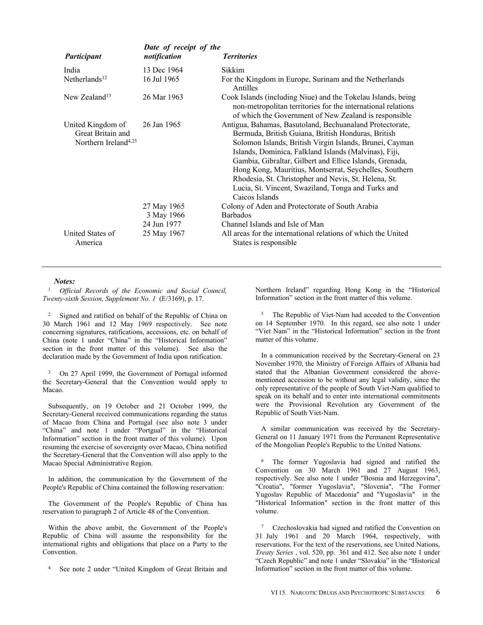|                                                                            | Date of receipt of the                   |                                                                                                                                                                                                                                                                                                                                                                                                                                                                                         |
|----------------------------------------------------------------------------|------------------------------------------|-----------------------------------------------------------------------------------------------------------------------------------------------------------------------------------------------------------------------------------------------------------------------------------------------------------------------------------------------------------------------------------------------------------------------------------------------------------------------------------------|
| Participant                                                                | notification                             | <b>Territories</b>                                                                                                                                                                                                                                                                                                                                                                                                                                                                      |
| India                                                                      | 13 Dec 1964                              | Sikkim                                                                                                                                                                                                                                                                                                                                                                                                                                                                                  |
| Netherlands <sup>12</sup>                                                  | 16 Jul 1965                              | For the Kingdom in Europe, Surinam and the Netherlands<br>Antilles                                                                                                                                                                                                                                                                                                                                                                                                                      |
| New Zealand <sup>13</sup>                                                  | 26 Mar 1963                              | Cook Islands (including Niue) and the Tokelau Islands, being<br>non-metropolitan territories for the international relations<br>of which the Government of New Zealand is responsible                                                                                                                                                                                                                                                                                                   |
| United Kingdom of<br>Great Britain and<br>Northern Ireland <sup>4,25</sup> | 26 Jan 1965                              | Antigua, Bahamas, Basutoland, Bechuanaland Protectorate,<br>Bermuda, British Guiana, British Honduras, British<br>Solomon Islands, British Virgin Islands, Brunei, Cayman<br>Islands, Dominica, Falkland Islands (Malvinas), Fiji,<br>Gambia, Gibraltar, Gilbert and Ellice Islands, Grenada,<br>Hong Kong, Mauritius, Montserrat, Seychelles, Southern<br>Rhodesia, St. Christopher and Nevis, St. Helena, St.<br>Lucia, St. Vincent, Swaziland, Tonga and Turks and<br>Caicos Islands |
|                                                                            | 27 May 1965<br>3 May 1966<br>24 Jun 1977 | Colony of Aden and Protectorate of South Arabia<br><b>Barbados</b><br>Channel Islands and Isle of Man                                                                                                                                                                                                                                                                                                                                                                                   |
| United States of<br>America                                                | 25 May 1967                              | All areas for the international relations of which the United<br>States is responsible.                                                                                                                                                                                                                                                                                                                                                                                                 |

## *Notes:*

<sup>1</sup> *Official Records of the Economic and Social Council, Twenty-sixth Session, Supplement No. 1* (E/3169), p. 17.

<sup>2</sup> Signed and ratified on behalf of the Republic of China on 30 March 1961 and 12 May 1969 respectively. See note concerning signatures, ratifications, accessions, etc. on behalf of China (note 1 under "China" in the "Historical Information" section in the front matter of this volume). See also the declaration made by the Government of India upon ratification.

<sup>3</sup> On 27 April 1999, the Government of Portugal informed the Secretary-General that the Convention would apply to Macao.

Subsequently, on 19 October and 21 October 1999, the Secretary-General received communications regarding the status of Macao from China and Portugal (see also note 3 under "China" and note 1 under "Portgual" in the "Historical Information" section in the front matter of this volume). Upon resuming the exercise of sovereignty over Macao, China notified the Secretary-General that the Convention will also apply to the Macao Special Administrative Region.

In addition, the communication by the Government of the People's Republic of China contained the following reservation:

The Government of the People's Republic of China has reservation to paragraph 2 of Article 48 of the Convention.

Within the above ambit, the Government of the People's Republic of China will assume the responsibility for the international rights and obligations that place on a Party to the Convention.

<sup>4</sup> See note 2 under "United Kingdom of Great Britain and

Northern Ireland" regarding Hong Kong in the "Historical Information" section in the front matter of this volume.

<sup>5</sup> The Republic of Viet-Nam had acceded to the Convention on 14 September 1970. In this regard, see also note 1 under "Viet Nam" in the "Historical Information" section in the front matter of this volume.

In a communication received by the Secretary-General on 23 November 1970, the Ministry of Foreign Affairs of Albania had stated that the Albanian Government considered the abovementioned accession to be without any legal validity, since the only representative of the people of South Viet-Nam qualified to speak on its behalf and to enter into international commitments were the Provisional Revolution ary Government of the Republic of South Viet-Nam.

A similar communication was received by the Secretary-General on 11 January 1971 from the Permanent Representative of the Mongolian People's Republic to the United Nations.

<sup>6</sup> The former Yugoslavia had signed and ratified the Convention on 30 March 1961 and 27 August 1963, respectively. See also note 1 under "Bosnia and Herzegovina", "Croatia", "former Yugoslavia", "Slovenia", "The Former Yugoslav Republic of Macedonia" and "Yugoslavia" in the "Historical Information" section in the front matter of this volume.

<sup>7</sup> Czechoslovakia had signed and ratified the Convention on 31 July 1961 and 20 March 1964, respectively, with reservations. For the text of the reservations, see United Nations, *Treaty Series* , vol. 520, pp. 361 and 412. See also note 1 under "Czech Republic" and note 1 under "Slovakia" in the "Historical Information" section in the front matter of this volume.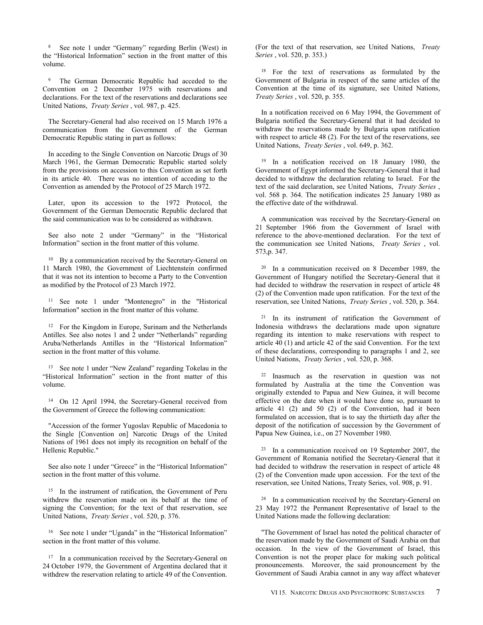<sup>8</sup> See note 1 under "Germany" regarding Berlin (West) in the "Historical Information" section in the front matter of this volume.

<sup>9</sup> The German Democratic Republic had acceded to the Convention on 2 December 1975 with reservations and declarations. For the text of the reservations and declarations see United Nations, *Treaty Series* , vol. 987, p. 425.

The Secretary-General had also received on 15 March 1976 a communication from the Government of the German Democratic Republic stating in part as follows:

In acceding to the Single Convention on Narcotic Drugs of 30 March 1961, the German Democratic Republic started solely from the provisions on accession to this Convention as set forth in its article 40. There was no intention of acceding to the Convention as amended by the Protocol of 25 March 1972.

Later, upon its accession to the 1972 Protocol, the Government of the German Democratic Republic declared that the said communication was to be considered as withdrawn.

See also note 2 under "Germany" in the "Historical Information" section in the front matter of this volume.

<sup>10</sup> By a communication received by the Secretary-General on 11 March 1980, the Government of Liechtenstein confirmed that it was not its intention to become a Party to the Convention as modified by the Protocol of 23 March 1972.

<sup>11</sup> See note 1 under "Montenegro" in the "Historical Information" section in the front matter of this volume.

<sup>12</sup> For the Kingdom in Europe, Surinam and the Netherlands Antilles. See also notes 1 and 2 under "Netherlands" regarding Aruba/Netherlands Antilles in the "Historical Information" section in the front matter of this volume.

<sup>13</sup> See note 1 under "New Zealand" regarding Tokelau in the "Historical Information" section in the front matter of this volume.

<sup>14</sup> On 12 April 1994, the Secretary-General received from the Government of Greece the following communication:

"Accession of the former Yugoslav Republic of Macedonia to the Single [Convention on] Narcotic Drugs of the United Nations of 1961 does not imply its recognition on behalf of the Hellenic Republic."

See also note 1 under "Greece" in the "Historical Information" section in the front matter of this volume.

<sup>15</sup> In the instrument of ratification, the Government of Peru withdrew the reservation made on its behalf at the time of signing the Convention; for the text of that reservation, see United Nations, *Treaty Series* , vol. 520, p. 376.

<sup>16</sup> See note 1 under "Uganda" in the "Historical Information" section in the front matter of this volume.

<sup>17</sup> In a communication received by the Secretary-General on 24 October 1979, the Government of Argentina declared that it withdrew the reservation relating to article 49 of the Convention. (For the text of that reservation, see United Nations, *Treaty Series* , vol. 520, p. 353.)

<sup>18</sup> For the text of reservations as formulated by the Government of Bulgaria in respect of the same articles of the Convention at the time of its signature, see United Nations, *Treaty Series* , vol. 520, p. 355.

In a notification received on 6 May 1994, the Government of Bulgaria notified the Secretary-General that it had decided to withdraw the reservations made by Bulgaria upon ratification with respect to article 48 (2). For the text of the reservations, see United Nations, *Treaty Series* , vol. 649, p. 362.

<sup>19</sup> In a notification received on 18 January 1980, the Government of Egypt informed the Secretary-General that it had decided to withdraw the declaration relating to Israel. For the text of the said declaration, see United Nations, *Treaty Series* , vol. 568 p. 364. The notification indicates 25 January 1980 as the effective date of the withdrawal.

A communication was received by the Secretary-General on 21 September 1966 from the Government of Israel with reference to the above-mentioned declaration. For the text of the communication see United Nations, *Treaty Series* , vol. 573,p. 347.

<sup>20</sup> In a communication received on 8 December 1989, the Government of Hungary notified the Secretary-General that it had decided to withdraw the reservation in respect of article 48 (2) of the Convention made upon ratification. For the text of the reservation, see United Nations, *Treaty Series* , vol. 520, p. 364.

<sup>21</sup> In its instrument of ratification the Government of Indonesia withdraws the declarations made upon signature regarding its intention to make reservations with respect to article 40 (1) and article 42 of the said Convention. For the text of these declarations, corresponding to paragraphs 1 and 2, see United Nations, *Treaty Series* , vol. 520, p. 368.

<sup>22</sup> Inasmuch as the reservation in question was not formulated by Australia at the time the Convention was originally extended to Papua and New Guinea, it will become effective on the date when it would have done so, pursuant to article 41 (2) and 50 (2) of the Convention, had it been formulated on accession, that is to say the thirtieth day after the deposit of the notification of succession by the Government of Papua New Guinea, i.e., on 27 November 1980.

 $23$  In a communication received on 19 September 2007, the Government of Romania notified the Secretary-General that it had decided to withdraw the reservation in respect of article 48 (2) of the Convention made upon accession. For the text of the reservation, see United Nations, Treaty Series, vol. 908, p. 91.

<sup>24</sup> In a communication received by the Secretary-General on 23 May 1972 the Permanent Representative of Israel to the United Nations made the following declaration:

"The Government of Israel has noted the political character of the reservation made by the Government of Saudi Arabia on that occasion. In the view of the Government of Israel, this Convention is not the proper place for making such political pronouncements. Moreover, the said pronouncement by the Government of Saudi Arabia cannot in any way affect whatever